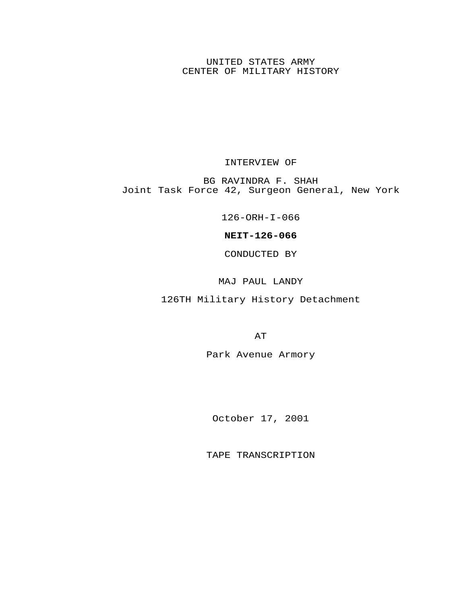UNITED STATES ARMY CENTER OF MILITARY HISTORY

INTERVIEW OF

BG RAVINDRA F. SHAH Joint Task Force 42, Surgeon General, New York

126-ORH-I-066

**NEIT-126-066**

CONDUCTED BY

MAJ PAUL LANDY

126TH Military History Detachment

AT

Park Avenue Armory

October 17, 2001

TAPE TRANSCRIPTION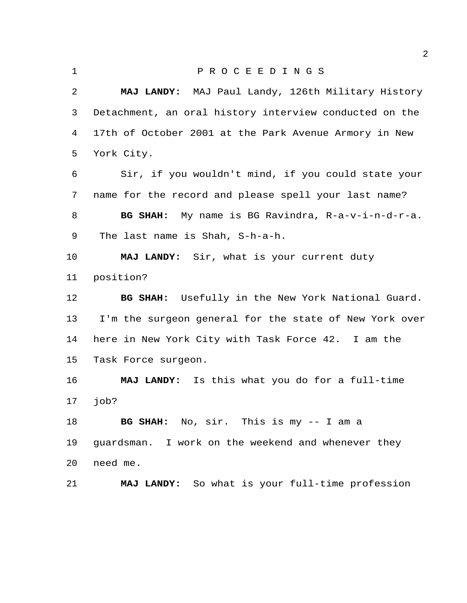## P R O C E E D I N G S

 **MAJ LANDY:** MAJ Paul Landy, 126th Military History Detachment, an oral history interview conducted on the 17th of October 2001 at the Park Avenue Armory in New York City.

 Sir, if you wouldn't mind, if you could state your name for the record and please spell your last name? **BG SHAH:** My name is BG Ravindra, R-a-v-i-n-d-r-a. The last name is Shah, S-h-a-h.

 **MAJ LANDY:** Sir, what is your current duty position?

 **BG SHAH:** Usefully in the New York National Guard. I'm the surgeon general for the state of New York over here in New York City with Task Force 42. I am the Task Force surgeon.

 **MAJ LANDY:** Is this what you do for a full-time job?

 **BG SHAH:** No, sir. This is my -- I am a guardsman. I work on the weekend and whenever they need me.

**MAJ LANDY:** So what is your full-time profession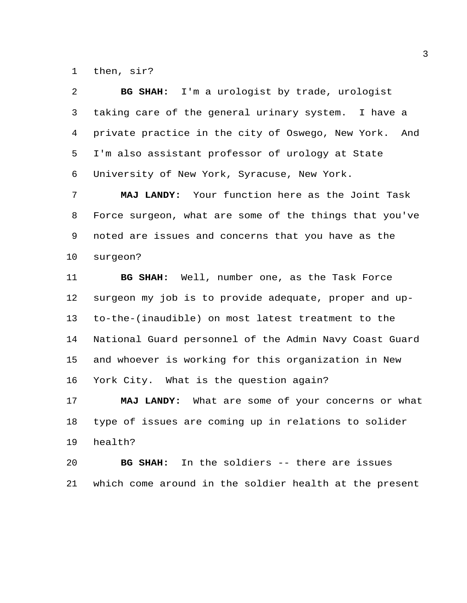then, sir?

 **BG SHAH:** I'm a urologist by trade, urologist taking care of the general urinary system. I have a private practice in the city of Oswego, New York. And I'm also assistant professor of urology at State University of New York, Syracuse, New York.

 **MAJ LANDY:** Your function here as the Joint Task Force surgeon, what are some of the things that you've noted are issues and concerns that you have as the surgeon?

 **BG SHAH:** Well, number one, as the Task Force surgeon my job is to provide adequate, proper and up- to-the-(inaudible) on most latest treatment to the National Guard personnel of the Admin Navy Coast Guard and whoever is working for this organization in New York City. What is the question again?

 **MAJ LANDY:** What are some of your concerns or what type of issues are coming up in relations to solider health?

 **BG SHAH:** In the soldiers -- there are issues which come around in the soldier health at the present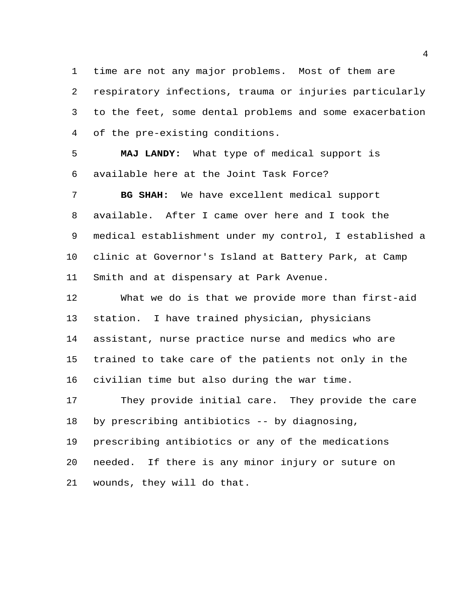time are not any major problems. Most of them are respiratory infections, trauma or injuries particularly to the feet, some dental problems and some exacerbation of the pre-existing conditions.

 **MAJ LANDY:** What type of medical support is available here at the Joint Task Force?

 **BG SHAH:** We have excellent medical support available. After I came over here and I took the medical establishment under my control, I established a clinic at Governor's Island at Battery Park, at Camp Smith and at dispensary at Park Avenue.

 What we do is that we provide more than first-aid station. I have trained physician, physicians assistant, nurse practice nurse and medics who are trained to take care of the patients not only in the civilian time but also during the war time.

 They provide initial care. They provide the care by prescribing antibiotics -- by diagnosing,

 prescribing antibiotics or any of the medications needed. If there is any minor injury or suture on wounds, they will do that.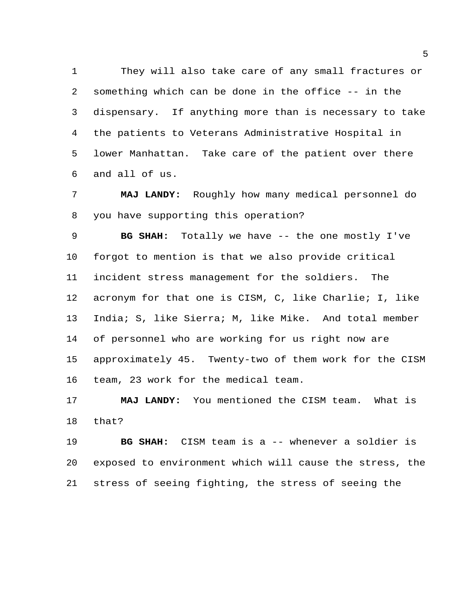They will also take care of any small fractures or something which can be done in the office -- in the dispensary. If anything more than is necessary to take the patients to Veterans Administrative Hospital in lower Manhattan. Take care of the patient over there and all of us.

 **MAJ LANDY:** Roughly how many medical personnel do you have supporting this operation?

 **BG SHAH:** Totally we have -- the one mostly I've forgot to mention is that we also provide critical incident stress management for the soldiers. The acronym for that one is CISM, C, like Charlie; I, like India; S, like Sierra; M, like Mike. And total member of personnel who are working for us right now are approximately 45. Twenty-two of them work for the CISM team, 23 work for the medical team.

 **MAJ LANDY:** You mentioned the CISM team. What is that?

 **BG SHAH:** CISM team is a -- whenever a soldier is exposed to environment which will cause the stress, the stress of seeing fighting, the stress of seeing the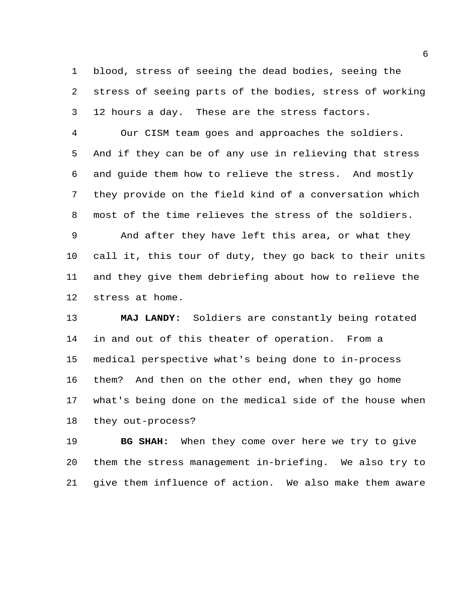blood, stress of seeing the dead bodies, seeing the stress of seeing parts of the bodies, stress of working 12 hours a day. These are the stress factors.

 Our CISM team goes and approaches the soldiers. And if they can be of any use in relieving that stress and guide them how to relieve the stress. And mostly they provide on the field kind of a conversation which most of the time relieves the stress of the soldiers. And after they have left this area, or what they call it, this tour of duty, they go back to their units

 and they give them debriefing about how to relieve the stress at home.

 **MAJ LANDY:** Soldiers are constantly being rotated in and out of this theater of operation. From a medical perspective what's being done to in-process them? And then on the other end, when they go home what's being done on the medical side of the house when they out-process?

 **BG SHAH:** When they come over here we try to give them the stress management in-briefing. We also try to give them influence of action. We also make them aware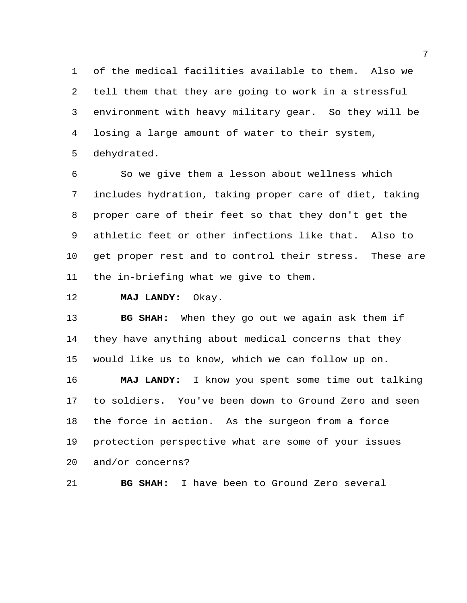of the medical facilities available to them. Also we tell them that they are going to work in a stressful environment with heavy military gear. So they will be losing a large amount of water to their system, dehydrated.

 So we give them a lesson about wellness which includes hydration, taking proper care of diet, taking proper care of their feet so that they don't get the athletic feet or other infections like that. Also to get proper rest and to control their stress. These are the in-briefing what we give to them.

**MAJ LANDY:** Okay.

 **BG SHAH:** When they go out we again ask them if they have anything about medical concerns that they would like us to know, which we can follow up on.

 **MAJ LANDY:** I know you spent some time out talking to soldiers. You've been down to Ground Zero and seen the force in action. As the surgeon from a force protection perspective what are some of your issues and/or concerns?

**BG SHAH:** I have been to Ground Zero several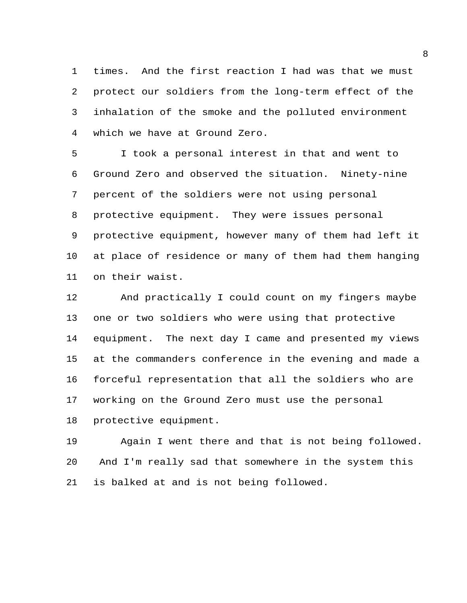times. And the first reaction I had was that we must protect our soldiers from the long-term effect of the inhalation of the smoke and the polluted environment which we have at Ground Zero.

 I took a personal interest in that and went to Ground Zero and observed the situation. Ninety-nine percent of the soldiers were not using personal protective equipment. They were issues personal protective equipment, however many of them had left it at place of residence or many of them had them hanging on their waist.

 And practically I could count on my fingers maybe one or two soldiers who were using that protective equipment. The next day I came and presented my views at the commanders conference in the evening and made a forceful representation that all the soldiers who are working on the Ground Zero must use the personal protective equipment.

 Again I went there and that is not being followed. And I'm really sad that somewhere in the system this is balked at and is not being followed.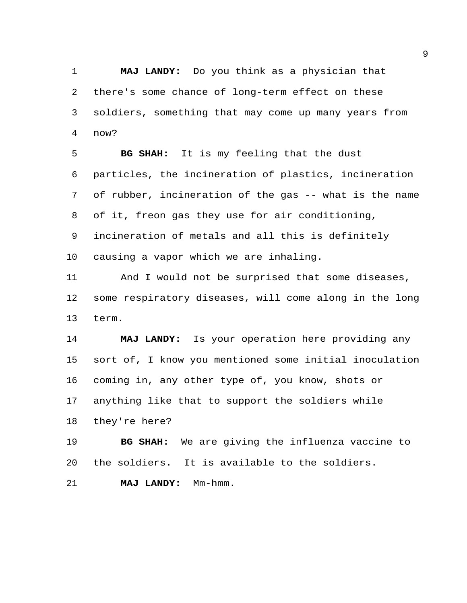**MAJ LANDY:** Do you think as a physician that there's some chance of long-term effect on these soldiers, something that may come up many years from now?

 **BG SHAH:** It is my feeling that the dust particles, the incineration of plastics, incineration of rubber, incineration of the gas -- what is the name of it, freon gas they use for air conditioning, incineration of metals and all this is definitely causing a vapor which we are inhaling.

 And I would not be surprised that some diseases, some respiratory diseases, will come along in the long term.

 **MAJ LANDY:** Is your operation here providing any sort of, I know you mentioned some initial inoculation coming in, any other type of, you know, shots or anything like that to support the soldiers while they're here?

 **BG SHAH:** We are giving the influenza vaccine to the soldiers. It is available to the soldiers.

**MAJ LANDY:** Mm-hmm.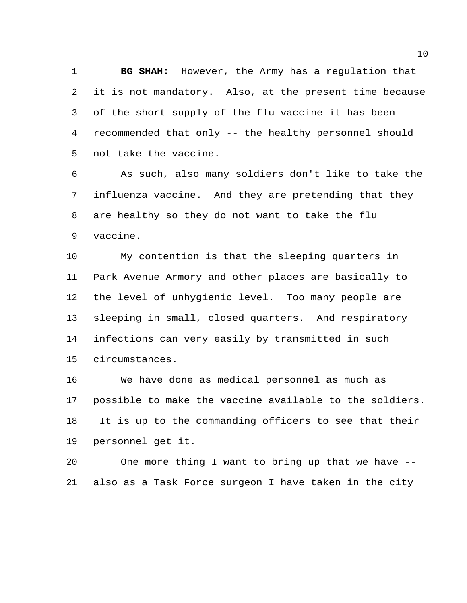**BG SHAH:** However, the Army has a regulation that it is not mandatory. Also, at the present time because of the short supply of the flu vaccine it has been recommended that only -- the healthy personnel should not take the vaccine.

 As such, also many soldiers don't like to take the influenza vaccine. And they are pretending that they are healthy so they do not want to take the flu vaccine.

 My contention is that the sleeping quarters in Park Avenue Armory and other places are basically to the level of unhygienic level. Too many people are sleeping in small, closed quarters. And respiratory infections can very easily by transmitted in such circumstances.

 We have done as medical personnel as much as possible to make the vaccine available to the soldiers. It is up to the commanding officers to see that their personnel get it.

 One more thing I want to bring up that we have -- also as a Task Force surgeon I have taken in the city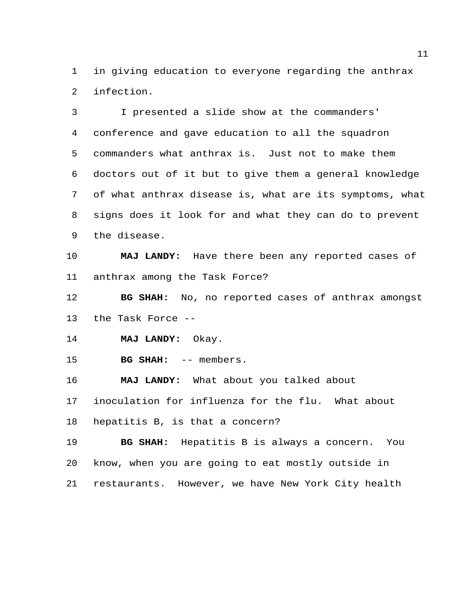in giving education to everyone regarding the anthrax infection.

 I presented a slide show at the commanders' conference and gave education to all the squadron commanders what anthrax is. Just not to make them doctors out of it but to give them a general knowledge of what anthrax disease is, what are its symptoms, what signs does it look for and what they can do to prevent the disease.

 **MAJ LANDY:** Have there been any reported cases of anthrax among the Task Force?

 **BG SHAH:** No, no reported cases of anthrax amongst the Task Force --

**MAJ LANDY:** Okay.

15 BG SHAH: -- members.

**MAJ LANDY:** What about you talked about

inoculation for influenza for the flu. What about

hepatitis B, is that a concern?

 **BG SHAH:** Hepatitis B is always a concern. You know, when you are going to eat mostly outside in restaurants. However, we have New York City health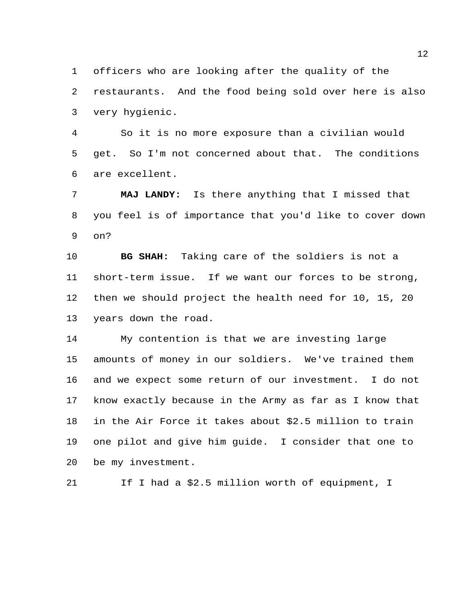officers who are looking after the quality of the

 restaurants. And the food being sold over here is also very hygienic.

 So it is no more exposure than a civilian would get. So I'm not concerned about that. The conditions are excellent.

 **MAJ LANDY:** Is there anything that I missed that you feel is of importance that you'd like to cover down on?

 **BG SHAH:** Taking care of the soldiers is not a short-term issue. If we want our forces to be strong, then we should project the health need for 10, 15, 20 years down the road.

 My contention is that we are investing large amounts of money in our soldiers. We've trained them and we expect some return of our investment. I do not know exactly because in the Army as far as I know that in the Air Force it takes about \$2.5 million to train one pilot and give him guide. I consider that one to be my investment.

If I had a \$2.5 million worth of equipment, I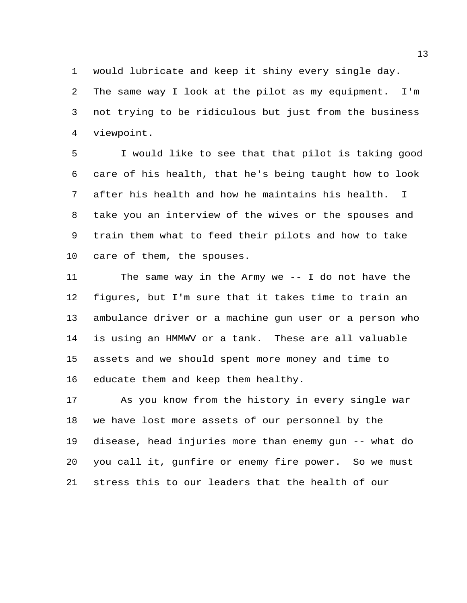would lubricate and keep it shiny every single day.

 The same way I look at the pilot as my equipment. I'm not trying to be ridiculous but just from the business viewpoint.

 I would like to see that that pilot is taking good care of his health, that he's being taught how to look after his health and how he maintains his health. I take you an interview of the wives or the spouses and train them what to feed their pilots and how to take care of them, the spouses.

 The same way in the Army we -- I do not have the figures, but I'm sure that it takes time to train an ambulance driver or a machine gun user or a person who is using an HMMWV or a tank. These are all valuable assets and we should spent more money and time to educate them and keep them healthy.

 As you know from the history in every single war we have lost more assets of our personnel by the disease, head injuries more than enemy gun -- what do you call it, gunfire or enemy fire power. So we must stress this to our leaders that the health of our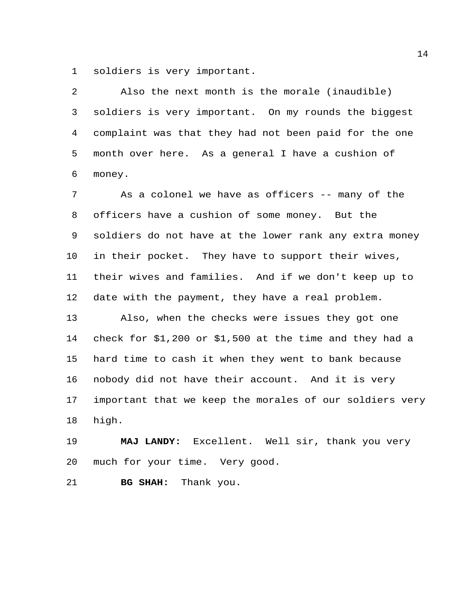soldiers is very important.

 Also the next month is the morale (inaudible) soldiers is very important. On my rounds the biggest complaint was that they had not been paid for the one month over here. As a general I have a cushion of money.

 As a colonel we have as officers -- many of the officers have a cushion of some money. But the soldiers do not have at the lower rank any extra money in their pocket. They have to support their wives, their wives and families. And if we don't keep up to date with the payment, they have a real problem.

 Also, when the checks were issues they got one check for \$1,200 or \$1,500 at the time and they had a hard time to cash it when they went to bank because nobody did not have their account. And it is very important that we keep the morales of our soldiers very high.

 **MAJ LANDY:** Excellent. Well sir, thank you very much for your time. Very good.

**BG SHAH:** Thank you.